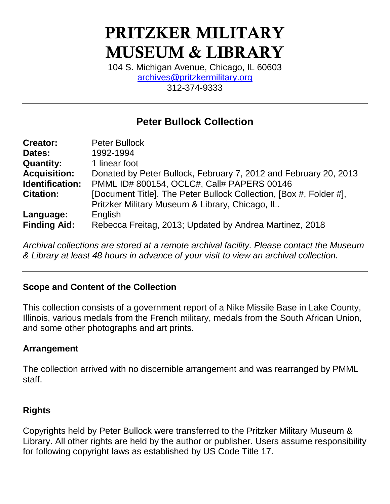# **PRITZKER MILITARY MUSEUM & LIBRARY**

104 S. Michigan Avenue, Chicago, IL 60603 [archives@pritzkermilitary.org](mailto:archives@pritzkermilitary.org) 312-374-9333

# **Peter Bullock Collection**

| <b>Creator:</b>     | <b>Peter Bullock</b>                                               |
|---------------------|--------------------------------------------------------------------|
| Dates:              | 1992-1994                                                          |
| <b>Quantity:</b>    | 1 linear foot                                                      |
| <b>Acquisition:</b> | Donated by Peter Bullock, February 7, 2012 and February 20, 2013   |
| Identification:     | PMML ID# 800154, OCLC#, Call# PAPERS 00146                         |
| <b>Citation:</b>    | [Document Title]. The Peter Bullock Collection, [Box #, Folder #], |
|                     | Pritzker Military Museum & Library, Chicago, IL.                   |
| Language:           | English                                                            |
| <b>Finding Aid:</b> | Rebecca Freitag, 2013; Updated by Andrea Martinez, 2018            |

*Archival collections are stored at a remote archival facility. Please contact the Museum & Library at least 48 hours in advance of your visit to view an archival collection.*

### **Scope and Content of the Collection**

This collection consists of a government report of a Nike Missile Base in Lake County, Illinois, various medals from the French military, medals from the South African Union, and some other photographs and art prints.

#### **Arrangement**

The collection arrived with no discernible arrangement and was rearranged by PMML staff.

### **Rights**

Copyrights held by Peter Bullock were transferred to the Pritzker Military Museum & Library. All other rights are held by the author or publisher. Users assume responsibility for following copyright laws as established by US Code Title 17.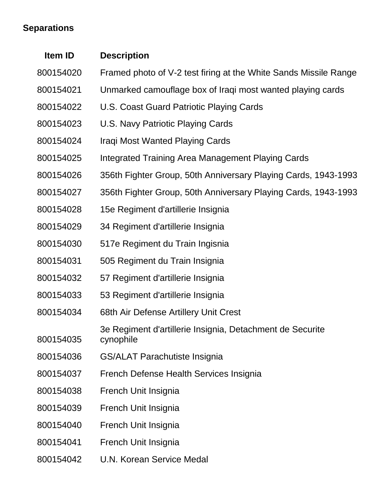# **Separations**

| Item ID   | <b>Description</b>                                                     |
|-----------|------------------------------------------------------------------------|
| 800154020 | Framed photo of V-2 test firing at the White Sands Missile Range       |
| 800154021 | Unmarked camouflage box of Iraqi most wanted playing cards             |
| 800154022 | U.S. Coast Guard Patriotic Playing Cards                               |
| 800154023 | U.S. Navy Patriotic Playing Cards                                      |
| 800154024 | Iraqi Most Wanted Playing Cards                                        |
| 800154025 | Integrated Training Area Management Playing Cards                      |
| 800154026 | 356th Fighter Group, 50th Anniversary Playing Cards, 1943-1993         |
| 800154027 | 356th Fighter Group, 50th Anniversary Playing Cards, 1943-1993         |
| 800154028 | 15e Regiment d'artillerie Insignia                                     |
| 800154029 | 34 Regiment d'artillerie Insignia                                      |
| 800154030 | 517e Regiment du Train Ingisnia                                        |
| 800154031 | 505 Regiment du Train Insignia                                         |
| 800154032 | 57 Regiment d'artillerie Insignia                                      |
| 800154033 | 53 Regiment d'artillerie Insignia                                      |
| 800154034 | 68th Air Defense Artillery Unit Crest                                  |
| 800154035 | 3e Regiment d'artillerie Insignia, Detachment de Securite<br>cynophile |
| 800154036 | <b>GS/ALAT Parachutiste Insignia</b>                                   |
| 800154037 | French Defense Health Services Insignia                                |
| 800154038 | French Unit Insignia                                                   |
| 800154039 | French Unit Insignia                                                   |
| 800154040 | French Unit Insignia                                                   |
| 800154041 | French Unit Insignia                                                   |
| 800154042 | <b>U.N. Korean Service Medal</b>                                       |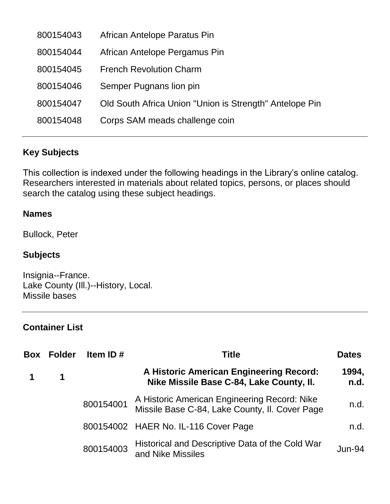| 800154043 | African Antelope Paratus Pin                            |
|-----------|---------------------------------------------------------|
| 800154044 | African Antelope Pergamus Pin                           |
| 800154045 | <b>French Revolution Charm</b>                          |
| 800154046 | Semper Pugnans lion pin                                 |
| 800154047 | Old South Africa Union "Union is Strength" Antelope Pin |
| 800154048 | Corps SAM meads challenge coin                          |
|           |                                                         |

## **Key Subjects**

This collection is indexed under the following headings in the Library's online catalog. Researchers interested in materials about related topics, persons, or places should search the catalog using these subject headings.

#### **Names**

Bullock, Peter

### **Subjects**

Insignia--France. Lake County (Ill.)--History, Local. Missile bases

## **Container List**

| Box | <b>Folder</b> | Item ID $#$ | <b>Title</b>                                                                                   | <b>Dates</b>  |
|-----|---------------|-------------|------------------------------------------------------------------------------------------------|---------------|
|     | 1             |             | A Historic American Engineering Record:<br>Nike Missile Base C-84, Lake County, II.            | 1994,<br>n.d. |
|     |               | 800154001   | A Historic American Engineering Record: Nike<br>Missile Base C-84, Lake County, II. Cover Page | n.d.          |
|     |               |             | 800154002 HAER No. IL-116 Cover Page                                                           | n.d.          |
|     |               | 800154003   | Historical and Descriptive Data of the Cold War<br>and Nike Missiles                           | $Jun-94$      |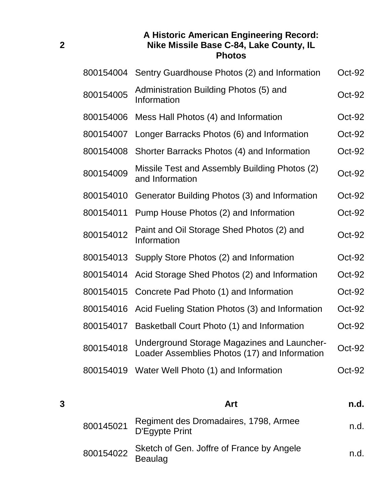#### **A Historic American Engineering Record: Nike Missile Base C-84, Lake County, IL Photos**

| 800154004 | Sentry Guardhouse Photos (2) and Information                                                        | Oct-92   |
|-----------|-----------------------------------------------------------------------------------------------------|----------|
| 800154005 | Administration Building Photos (5) and<br>Information                                               | Oct-92   |
| 800154006 | Mess Hall Photos (4) and Information                                                                | Oct-92   |
| 800154007 | Longer Barracks Photos (6) and Information                                                          | Oct-92   |
| 800154008 | Shorter Barracks Photos (4) and Information                                                         | Oct-92   |
| 800154009 | Missile Test and Assembly Building Photos (2)<br>and Information                                    | $Oct-92$ |
| 800154010 | Generator Building Photos (3) and Information                                                       | Oct-92   |
| 800154011 | Pump House Photos (2) and Information                                                               | Oct-92   |
| 800154012 | Paint and Oil Storage Shed Photos (2) and<br>Information                                            | Oct-92   |
| 800154013 | Supply Store Photos (2) and Information                                                             | Oct-92   |
| 800154014 | Acid Storage Shed Photos (2) and Information                                                        | $Oct-92$ |
| 800154015 | Concrete Pad Photo (1) and Information                                                              | $Oct-92$ |
| 800154016 | Acid Fueling Station Photos (3) and Information                                                     | Oct-92   |
| 800154017 | Basketball Court Photo (1) and Information                                                          | Oct-92   |
| 800154018 | <b>Underground Storage Magazines and Launcher-</b><br>Loader Assemblies Photos (17) and Information | Oct-92   |
| 800154019 | Water Well Photo (1) and Information                                                                | $Oct-92$ |

| 3 |           | Art                                                         | n.d. |
|---|-----------|-------------------------------------------------------------|------|
|   | 800145021 | Regiment des Dromadaires, 1798, Armee<br>D'Egypte Print     | n.d. |
|   | 800154022 | Sketch of Gen. Joffre of France by Angele<br><b>Beaulag</b> | n.d. |